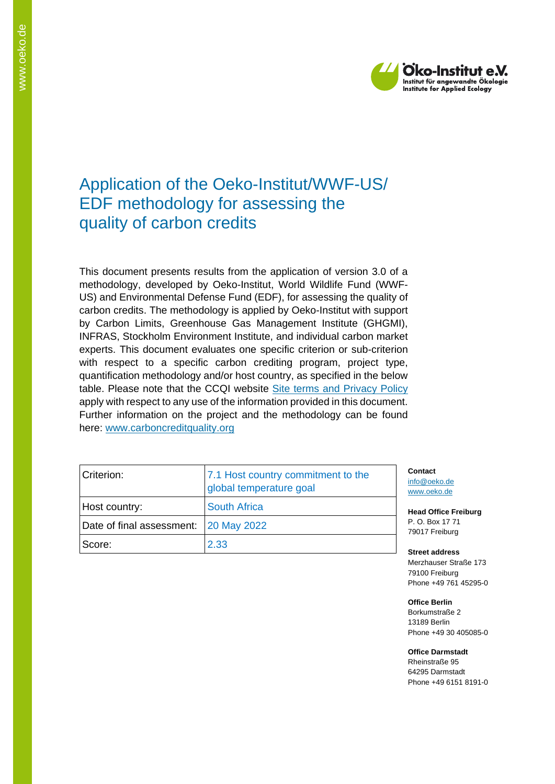

# Application of the Oeko-Institut/WWF-US/ EDF methodology for assessing the quality of carbon credits

This document presents results from the application of version 3.0 of a methodology, developed by Oeko-Institut, World Wildlife Fund (WWF-US) and Environmental Defense Fund (EDF), for assessing the quality of carbon credits. The methodology is applied by Oeko-Institut with support by Carbon Limits, Greenhouse Gas Management Institute (GHGMI), INFRAS, Stockholm Environment Institute, and individual carbon market experts. This document evaluates one specific criterion or sub-criterion with respect to a specific carbon crediting program, project type, quantification methodology and/or host country, as specified in the below table. Please note that the CCQI website [Site terms and Privacy Policy](https://carboncreditquality.org/terms.html) apply with respect to any use of the information provided in this document. Further information on the project and the methodology can be found here: [www.carboncreditquality.org](http://www.carboncreditquality.org/)

| Criterion:                              | 7.1 Host country commitment to the<br>global temperature goal |
|-----------------------------------------|---------------------------------------------------------------|
| Host country:                           | <b>South Africa</b>                                           |
| Date of final assessment:   20 May 2022 |                                                               |
| Score:                                  | 2.33                                                          |

**Contact** [info@oeko.de](mailto:info@oeko.de) [www.oeko.de](http://www.oeko.de/)

**Head Office Freiburg** P. O. Box 17 71 79017 Freiburg

**Street address** Merzhauser Straße 173 79100 Freiburg Phone +49 761 45295-0

**Office Berlin** Borkumstraße 2 13189 Berlin Phone +49 30 405085-0

**Office Darmstadt** Rheinstraße 95 64295 Darmstadt Phone +49 6151 8191-0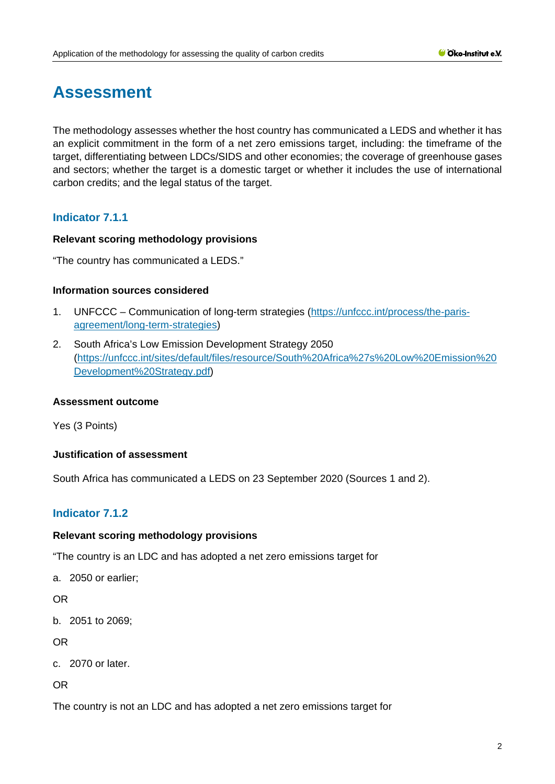# **Assessment**

The methodology assesses whether the host country has communicated a LEDS and whether it has an explicit commitment in the form of a net zero emissions target, including: the timeframe of the target, differentiating between LDCs/SIDS and other economies; the coverage of greenhouse gases and sectors; whether the target is a domestic target or whether it includes the use of international carbon credits; and the legal status of the target.

# **Indicator 7.1.1**

## **Relevant scoring methodology provisions**

"The country has communicated a LEDS."

#### **Information sources considered**

- 1. UNFCCC Communication of long-term strategies [\(https://unfccc.int/process/the-paris](https://unfccc.int/process/the-paris-agreement/long-term-strategies)[agreement/long-term-strategies\)](https://unfccc.int/process/the-paris-agreement/long-term-strategies)
- 2. South Africa's Low Emission Development Strategy 2050 [\(https://unfccc.int/sites/default/files/resource/South%20Africa%27s%20Low%20Emission%20](https://unfccc.int/sites/default/files/resource/South%20Africa%27s%20Low%20Emission%20Development%20Strategy.pdf) [Development%20Strategy.pdf\)](https://unfccc.int/sites/default/files/resource/South%20Africa%27s%20Low%20Emission%20Development%20Strategy.pdf)

## **Assessment outcome**

Yes (3 Points)

## **Justification of assessment**

South Africa has communicated a LEDS on 23 September 2020 (Sources 1 and 2).

# **Indicator 7.1.2**

## **Relevant scoring methodology provisions**

"The country is an LDC and has adopted a net zero emissions target for

a. 2050 or earlier;

OR

b. 2051 to 2069;

OR

c. 2070 or later.

OR

The country is not an LDC and has adopted a net zero emissions target for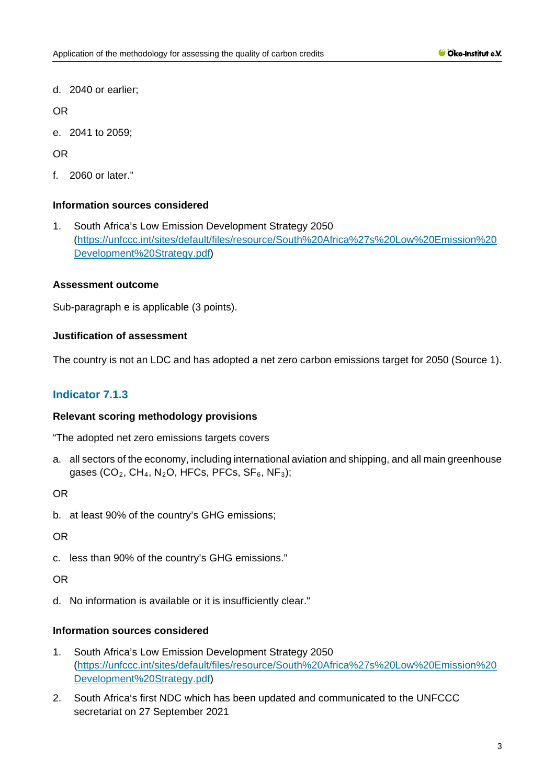d. 2040 or earlier;

OR

e. 2041 to 2059;

OR

f. 2060 or later."

# **Information sources considered**

1. South Africa's Low Emission Development Strategy 2050 [\(https://unfccc.int/sites/default/files/resource/South%20Africa%27s%20Low%20Emission%20](https://unfccc.int/sites/default/files/resource/South%20Africa%27s%20Low%20Emission%20Development%20Strategy.pdf) [Development%20Strategy.pdf\)](https://unfccc.int/sites/default/files/resource/South%20Africa%27s%20Low%20Emission%20Development%20Strategy.pdf)

# **Assessment outcome**

Sub-paragraph e is applicable (3 points).

# **Justification of assessment**

The country is not an LDC and has adopted a net zero carbon emissions target for 2050 (Source 1).

# **Indicator 7.1.3**

## **Relevant scoring methodology provisions**

"The adopted net zero emissions targets covers

a. all sectors of the economy, including international aviation and shipping, and all main greenhouse gases (CO<sub>2</sub>, CH<sub>4</sub>, N<sub>2</sub>O, HFCs, PFCs, SF<sub>6</sub>, NF<sub>3</sub>);

OR

b. at least 90% of the country's GHG emissions;

OR

c. less than 90% of the country's GHG emissions."

OR

d. No information is available or it is insufficiently clear."

# **Information sources considered**

- 1. South Africa's Low Emission Development Strategy 2050 [\(https://unfccc.int/sites/default/files/resource/South%20Africa%27s%20Low%20Emission%20](https://unfccc.int/sites/default/files/resource/South%20Africa%27s%20Low%20Emission%20Development%20Strategy.pdf) [Development%20Strategy.pdf\)](https://unfccc.int/sites/default/files/resource/South%20Africa%27s%20Low%20Emission%20Development%20Strategy.pdf)
- 2. South Africa's first NDC which has been updated and communicated to the UNFCCC secretariat on 27 September 2021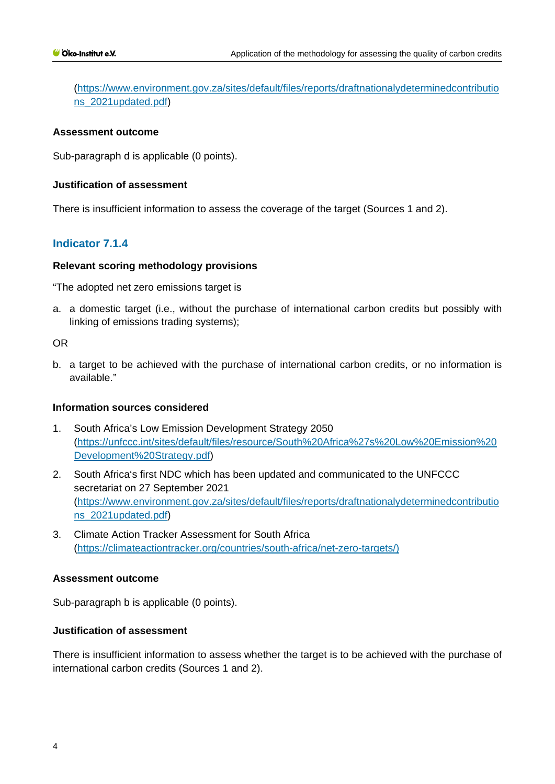[\(https://www.environment.gov.za/sites/default/files/reports/draftnationalydeterminedcontributio](https://www.environment.gov.za/sites/default/files/reports/draftnationalydeterminedcontributions_2021updated.pdf) [ns\\_2021updated.pdf\)](https://www.environment.gov.za/sites/default/files/reports/draftnationalydeterminedcontributions_2021updated.pdf)

#### **Assessment outcome**

Sub-paragraph d is applicable (0 points).

#### **Justification of assessment**

There is insufficient information to assess the coverage of the target (Sources 1 and 2).

# **Indicator 7.1.4**

#### **Relevant scoring methodology provisions**

"The adopted net zero emissions target is

a. a domestic target (i.e., without the purchase of international carbon credits but possibly with linking of emissions trading systems);

## OR

b. a target to be achieved with the purchase of international carbon credits, or no information is available."

#### **Information sources considered**

- 1. South Africa's Low Emission Development Strategy 2050 [\(https://unfccc.int/sites/default/files/resource/South%20Africa%27s%20Low%20Emission%20](https://unfccc.int/sites/default/files/resource/South%20Africa%27s%20Low%20Emission%20Development%20Strategy.pdf) [Development%20Strategy.pdf\)](https://unfccc.int/sites/default/files/resource/South%20Africa%27s%20Low%20Emission%20Development%20Strategy.pdf)
- 2. South Africa's first NDC which has been updated and communicated to the UNFCCC secretariat on 27 September 2021 [\(https://www.environment.gov.za/sites/default/files/reports/draftnationalydeterminedcontributio](https://www.environment.gov.za/sites/default/files/reports/draftnationalydeterminedcontributions_2021updated.pdf) [ns\\_2021updated.pdf\)](https://www.environment.gov.za/sites/default/files/reports/draftnationalydeterminedcontributions_2021updated.pdf)
- 3. Climate Action Tracker Assessment for South Africa [\(https://climateactiontracker.org/countries/south-africa/net-zero-targets/\)](https://climateactiontracker.org/countries/south-africa/net-zero-targets/)

#### **Assessment outcome**

Sub-paragraph b is applicable (0 points).

# **Justification of assessment**

There is insufficient information to assess whether the target is to be achieved with the purchase of international carbon credits (Sources 1 and 2).